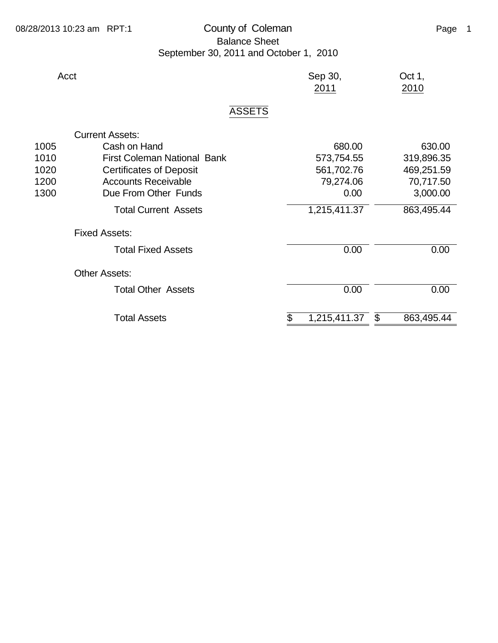## 08/28/2013 10:23 am RPT:1 County of Coleman County of Coleman Page 1 Balance Sheet September 30, 2011 and October 1, 2010

| Acct |                                    | Sep 30,<br>2011    | Oct 1,<br>2010   |
|------|------------------------------------|--------------------|------------------|
|      | <b>ASSETS</b>                      |                    |                  |
|      | <b>Current Assets:</b>             |                    |                  |
| 1005 | Cash on Hand                       | 680.00             | 630.00           |
| 1010 | <b>First Coleman National Bank</b> | 573,754.55         | 319,896.35       |
| 1020 | <b>Certificates of Deposit</b>     | 561,702.76         | 469,251.59       |
| 1200 | <b>Accounts Receivable</b>         | 79,274.06          | 70,717.50        |
| 1300 | Due From Other Funds               | 0.00               | 3,000.00         |
|      | <b>Total Current Assets</b>        | 1,215,411.37       | 863,495.44       |
|      | <b>Fixed Assets:</b>               |                    |                  |
|      | <b>Total Fixed Assets</b>          | 0.00               | 0.00             |
|      | <b>Other Assets:</b>               |                    |                  |
|      | <b>Total Other Assets</b>          | 0.00               | 0.00             |
|      | <b>Total Assets</b>                | \$<br>1,215,411.37 | \$<br>863,495.44 |